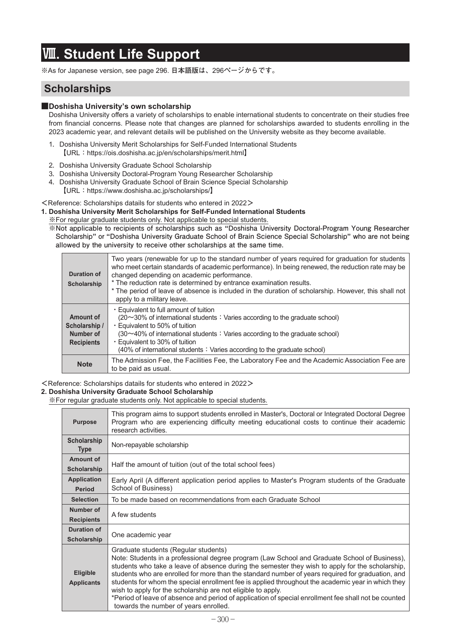# **Ⅷ. Student Life Support**

**※**As for Japanese version, see page 296. **日本語版は、**296**ページからです。**

# **Scholarships**

#### **■Doshisha University's own scholarship**

Doshisha University offers a variety of scholarships to enable international students to concentrate on their studies free from financial concerns. Please note that changes are planned for scholarships awarded to students enrolling in the 2023 academic year, and relevant details will be published on the University website as they become available.

- 1**.** Doshisha University Merit Scholarships for Self-Funded International Students **【**URL**:**https://ois.doshisha.ac.jp/en/scholarships/merit.html**】**
- 2**.**Doshisha University Graduate School Scholarship
- 3**.**Doshisha University Doctoral-Program Young Researcher Scholarship
- 4**.** Doshisha University Graduate School of Brain Science Special Scholarship
	- **【**URL**:**https://www.doshisha.ac.jp/scholarships/**】**

#### **<**Reference: Scholarships datails for students who entered in 2022**>**

- **1. Doshisha University Merit Scholarships for Self-Funded International Students**
- **※**For regular graduate students only. Not applicable to special students.
	- **※Not applicable to recipients of scholarships such as "Doshisha University Doctoral-Program Young Researcher Scholarship" or "Doshisha University Graduate School of Brain Science Special Scholarship" who are not being allowed by the university to receive other scholarships at the same time.**

| Duration of<br>Scholarship                                   | Two years (renewable for up to the standard number of years required for graduation for students<br>who meet certain standards of academic performance). In being renewed, the reduction rate may be<br>changed depending on academic performance.<br>* The reduction rate is determined by entrance examination results.<br>* The period of leave of absence is included in the duration of scholarship. However, this shall not<br>apply to a military leave. |
|--------------------------------------------------------------|-----------------------------------------------------------------------------------------------------------------------------------------------------------------------------------------------------------------------------------------------------------------------------------------------------------------------------------------------------------------------------------------------------------------------------------------------------------------|
| Amount of<br>Scholarship /<br>Number of<br><b>Recipients</b> | • Equivalent to full amount of tuition<br>$(20~30\%$ of international students : Varies according to the graduate school)<br>• Equivalent to 50% of tuition<br>$(30\sim40\%$ of international students : Varies according to the graduate school)<br>• Equivalent to 30% of tuition<br>(40% of international students: Varies according to the graduate school)                                                                                                 |
| <b>Note</b>                                                  | The Admission Fee, the Facilities Fee, the Laboratory Fee and the Academic Association Fee are<br>to be paid as usual.                                                                                                                                                                                                                                                                                                                                          |

**<**Reference: Scholarships datails for students who entered in 2022**>**

#### **2. Doshisha University Graduate School Scholarship**

**※**For regular graduate students only. Not applicable to special students.

| <b>Purpose</b>                       | This program aims to support students enrolled in Master's, Doctoral or Integrated Doctoral Degree<br>Program who are experiencing difficulty meeting educational costs to continue their academic<br>research activities.                                                                                                                                                                                                                                                                                                                                                                                                                                            |  |  |  |
|--------------------------------------|-----------------------------------------------------------------------------------------------------------------------------------------------------------------------------------------------------------------------------------------------------------------------------------------------------------------------------------------------------------------------------------------------------------------------------------------------------------------------------------------------------------------------------------------------------------------------------------------------------------------------------------------------------------------------|--|--|--|
| <b>Scholarship</b><br><b>Type</b>    | Non-repayable scholarship                                                                                                                                                                                                                                                                                                                                                                                                                                                                                                                                                                                                                                             |  |  |  |
| Amount of<br>Scholarship             | Half the amount of tuition (out of the total school fees)                                                                                                                                                                                                                                                                                                                                                                                                                                                                                                                                                                                                             |  |  |  |
| <b>Application</b><br><b>Period</b>  | Early April (A different application period applies to Master's Program students of the Graduate<br>School of Business)                                                                                                                                                                                                                                                                                                                                                                                                                                                                                                                                               |  |  |  |
| <b>Selection</b>                     | To be made based on recommendations from each Graduate School                                                                                                                                                                                                                                                                                                                                                                                                                                                                                                                                                                                                         |  |  |  |
| Number of                            |                                                                                                                                                                                                                                                                                                                                                                                                                                                                                                                                                                                                                                                                       |  |  |  |
| <b>Recipients</b>                    | A few students                                                                                                                                                                                                                                                                                                                                                                                                                                                                                                                                                                                                                                                        |  |  |  |
| Duration of                          |                                                                                                                                                                                                                                                                                                                                                                                                                                                                                                                                                                                                                                                                       |  |  |  |
| Scholarship                          | One academic year                                                                                                                                                                                                                                                                                                                                                                                                                                                                                                                                                                                                                                                     |  |  |  |
| <b>Eligible</b><br><b>Applicants</b> | Graduate students (Regular students)<br>Note: Students in a professional degree program (Law School and Graduate School of Business),<br>students who take a leave of absence during the semester they wish to apply for the scholarship,<br>students who are enrolled for more than the standard number of years required for graduation, and<br>students for whom the special enrollment fee is applied throughout the academic year in which they<br>wish to apply for the scholarship are not eligible to apply.<br>*Period of leave of absence and period of application of special enrollment fee shall not be counted<br>towards the number of years enrolled. |  |  |  |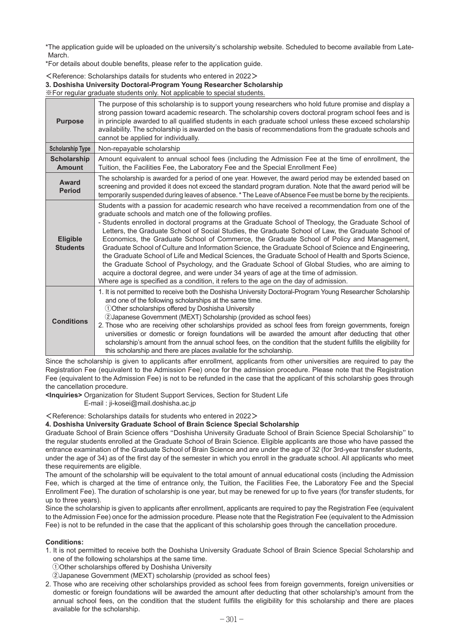\* The application guide will be uploaded on the university's scholarship website. Scheduled to become available from Late-March.

\*For details about double benefits, please refer to the application guide.

**<**Reference: Scholarships datails for students who entered in 2022**>**

### **3. Doshisha University Doctoral-Program Young Researcher Scholarship**

**※**For regular graduate students only. Not applicable to special students.

| <b>Purpose</b>                      | The purpose of this scholarship is to support young researchers who hold future promise and display a<br>strong passion toward academic research. The scholarship covers doctoral program school fees and is<br>in principle awarded to all qualified students in each graduate school unless these exceed scholarship<br>availability. The scholarship is awarded on the basis of recommendations from the graduate schools and<br>cannot be applied for individually.                                                                                                                                                                                                                                                                                                                                                                                                                                                                                                 |
|-------------------------------------|-------------------------------------------------------------------------------------------------------------------------------------------------------------------------------------------------------------------------------------------------------------------------------------------------------------------------------------------------------------------------------------------------------------------------------------------------------------------------------------------------------------------------------------------------------------------------------------------------------------------------------------------------------------------------------------------------------------------------------------------------------------------------------------------------------------------------------------------------------------------------------------------------------------------------------------------------------------------------|
| <b>Scholarship Type</b>             | Non-repayable scholarship                                                                                                                                                                                                                                                                                                                                                                                                                                                                                                                                                                                                                                                                                                                                                                                                                                                                                                                                               |
| <b>Scholarship</b><br><b>Amount</b> | Amount equivalent to annual school fees (including the Admission Fee at the time of enrollment, the<br>Tuition, the Facilities Fee, the Laboratory Fee and the Special Enrollment Fee)                                                                                                                                                                                                                                                                                                                                                                                                                                                                                                                                                                                                                                                                                                                                                                                  |
| Award<br><b>Period</b>              | The scholarship is awarded for a period of one year. However, the award period may be extended based on<br>screening and provided it does not exceed the standard program duration. Note that the award period will be<br>temporarily suspended during leaves of absence. * The Leave of Absence Fee must be borne by the recipients.                                                                                                                                                                                                                                                                                                                                                                                                                                                                                                                                                                                                                                   |
| Eligible<br><b>Students</b>         | Students with a passion for academic research who have received a recommendation from one of the<br>graduate schools and match one of the following profiles.<br>- Students enrolled in doctoral programs at the Graduate School of Theology, the Graduate School of<br>Letters, the Graduate School of Social Studies, the Graduate School of Law, the Graduate School of<br>Economics, the Graduate School of Commerce, the Graduate School of Policy and Management,<br>Graduate School of Culture and Information Science, the Graduate School of Science and Engineering,<br>the Graduate School of Life and Medical Sciences, the Graduate School of Health and Sports Science,<br>the Graduate School of Psychology, and the Graduate School of Global Studies, who are aiming to<br>acquire a doctoral degree, and were under 34 years of age at the time of admission.<br>Where age is specified as a condition, it refers to the age on the day of admission. |
| <b>Conditions</b>                   | 1. It is not permitted to receive both the Doshisha University Doctoral-Program Young Researcher Scholarship<br>and one of the following scholarships at the same time.<br>10 Other scholarships offered by Doshisha University<br>2Japanese Government (MEXT) Scholarship (provided as school fees)<br>2. Those who are receiving other scholarships provided as school fees from foreign governments, foreign<br>universities or domestic or foreign foundations will be awarded the amount after deducting that other<br>scholarship's amount from the annual school fees, on the condition that the student fulfills the eligibility for<br>this scholarship and there are places available for the scholarship.                                                                                                                                                                                                                                                    |

Since the scholarship is given to applicants after enrollment, applicants from other universities are required to pay the Registration Fee (equivalent to the Admission Fee) once for the admission procedure. Please note that the Registration Fee (equivalent to the Admission Fee) is not to be refunded in the case that the applicant of this scholarship goes through the cancellation procedure.

**<Inquiries>** Organization for Student Support Services, Section for Student Life

E-mail : ji-kosei@mail.doshisha.ac.jp

#### **<**Reference: Scholarships datails for students who entered in 2022**>**

#### **4. Doshisha University Graduate School of Brain Science Special Scholarship**

Graduate School of Brain Science offers "Doshisha University Graduate School of Brain Science Special Scholarship" to the regular students enrolled at the Graduate School of Brain Science. Eligible applicants are those who have passed the entrance examination of the Graduate School of Brain Science and are under the age of 32 (for 3rd-year transfer students, under the age of 34) as of the first day of the semester in which you enroll in the graduate school. All applicants who meet these requirements are eligible.

The amount of the scholarship will be equivalent to the total amount of annual educational costs (including the Admission Fee, which is charged at the time of entrance only, the Tuition, the Facilities Fee, the Laboratory Fee and the Special Enrollment Fee). The duration of scholarship is one year, but may be renewed for up to five years (for transfer students, for up to three years).

Since the scholarship is given to applicants after enrollment, applicants are required to pay the Registration Fee (equivalent to the Admission Fee) once for the admission procedure. Please note that the Registration Fee (equivalent to the Admission Fee) is not to be refunded in the case that the applicant of this scholarship goes through the cancellation procedure.

#### **Conditions:**

- 1. It is not permitted to receive both the Doshisha University Graduate School of Brain Science Special Scholarship and one of the following scholarships at the same time.
	- **①**Other scholarships offered by Doshisha University
	- **②**Japanese Government (MEXT) scholarship (provided as school fees)
- 2. Those who are receiving other scholarships provided as school fees from foreign governments, foreign universities or domestic or foreign foundations will be awarded the amount after deducting that other scholarship's amount from the annual school fees, on the condition that the student fulfills the eligibility for this scholarship and there are places available for the scholarship.